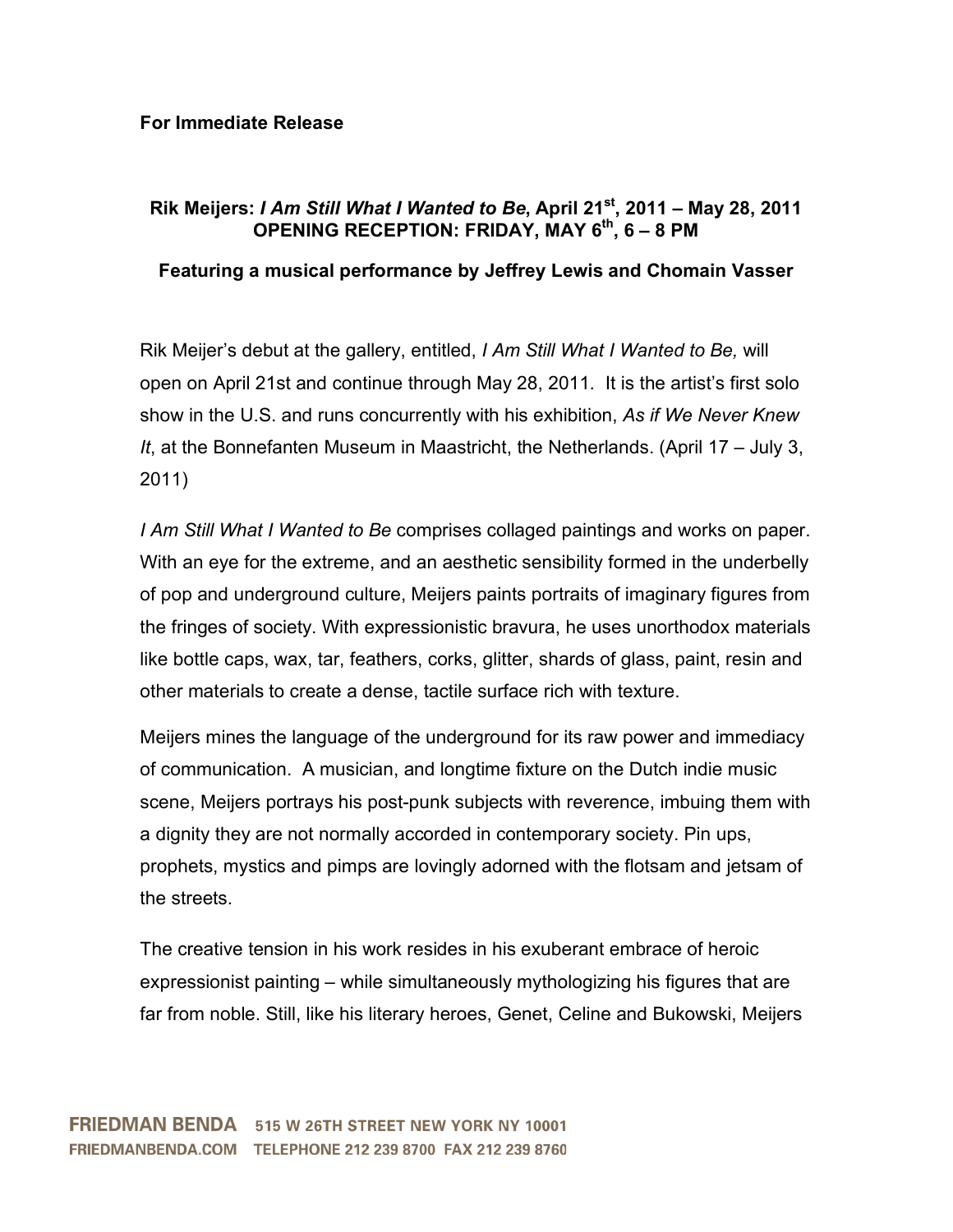## **For Immediate Release**

## **Rik Meijers:** *I Am Still What I Wanted to Be***, April 21st, 2011 – May 28, 2011 OPENING RECEPTION: FRIDAY, MAY 6th, 6 – 8 PM**

## **Featuring a musical performance by Jeffrey Lewis and Chomain Vasser**

Rik Meijer's debut at the gallery, entitled, *I Am Still What I Wanted to Be,* will open on April 21st and continue through May 28, 2011. It is the artist's first solo show in the U.S. and runs concurrently with his exhibition, *As if We Never Knew It*, at the Bonnefanten Museum in Maastricht, the Netherlands. (April 17 – July 3, 2011)

*I Am Still What I Wanted to Be* comprises collaged paintings and works on paper. With an eye for the extreme, and an aesthetic sensibility formed in the underbelly of pop and underground culture, Meijers paints portraits of imaginary figures from the fringes of society. With expressionistic bravura, he uses unorthodox materials like bottle caps, wax, tar, feathers, corks, glitter, shards of glass, paint, resin and other materials to create a dense, tactile surface rich with texture.

Meijers mines the language of the underground for its raw power and immediacy of communication. A musician, and longtime fixture on the Dutch indie music scene, Meijers portrays his post-punk subjects with reverence, imbuing them with a dignity they are not normally accorded in contemporary society. Pin ups, prophets, mystics and pimps are lovingly adorned with the flotsam and jetsam of the streets.

The creative tension in his work resides in his exuberant embrace of heroic expressionist painting – while simultaneously mythologizing his figures that are far from noble. Still, like his literary heroes, Genet, Celine and Bukowski, Meijers